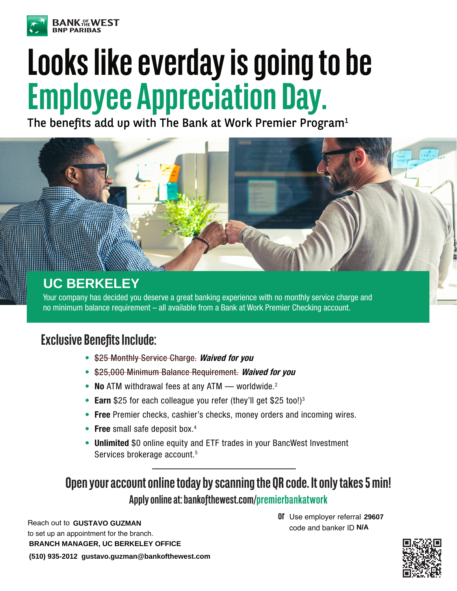

## **Looks like everday is going to be Employee Appreciation Day.**

The benefits add up with The Bank at Work Premier Program<sup>1</sup>



Your company has decided you deserve a great banking experience with no monthly service charge and no minimum balance requirement – all available from a Bank at Work Premier Checking account.

## **Exclusive Benefits Include:**

- \$25 Monthly Service Charge. **Waived for you**
- \$25,000 Minimum Balance Requirement. **Waived for you**
- **No** ATM withdrawal fees at any ATM worldwide.2
- **Earn** \$25 for each colleague you refer (they'll get \$25 too!)<sup>3</sup>
- **Free** Premier checks, cashier's checks, money orders and incoming wires.
- **Free** small safe deposit box.4
- **Unlimited** \$0 online equity and ETF trades in your BancWest Investment Services brokerage account.<sup>5</sup>

## **Open your account online today by scanning the QR code. It only takes 5 min! Apply online at: bankofthewest.com/premierbankatwork**

Reach out to GUSTAVO GUZMAN to set up an appointment for the branch. **BRANCH MANAGER, UC BERKELEY OFFICE (510) 935-2012 gustavo.guzman@bankofthewest.com**

**or or or**  $\overline{0}$  **<b>or DF** Use employer referral 29607<br>**Code and banker ID N/A** code and banker ID N/A